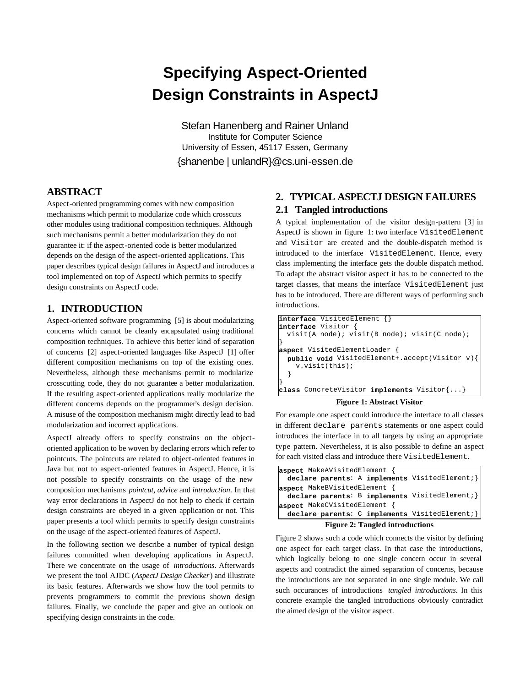# **Specifying Aspect-Oriented Design Constraints in AspectJ**

Stefan Hanenberg and Rainer Unland Institute for Computer Science University of Essen, 45117 Essen, Germany {shanenbe | unlandR}@cs.uni-essen.de

# **ABSTRACT**

Aspect-oriented programming comes with new composition mechanisms which permit to modularize code which crosscuts other modules using traditional composition techniques. Although such mechanisms permit a better modularization they do not guarantee it: if the aspect-oriented code is better modularized depends on the design of the aspect-oriented applications. This paper describes typical design failures in AspectJ and introduces a tool implemented on top of AspectJ which permits to specify design constraints on AspectJ code.

## **1. INTRODUCTION**

Aspect-oriented software programming [5] is about modularizing concerns which cannot be cleanly encapsulated using traditional composition techniques. To achieve this better kind of separation of concerns [2] aspect-oriented languages like AspectJ [1] offer different composition mechanisms on top of the existing ones. Nevertheless, although these mechanisms permit to modularize crosscutting code, they do not guarantee a better modularization. If the resulting aspect-oriented applications really modularize the different concerns depends on the programmer's design decision. A misuse of the composition mechanism might directly lead to bad modularization and incorrect applications.

AspectJ already offers to specify constrains on the objectoriented application to be woven by declaring errors which refer to pointcuts. The pointcuts are related to object-oriented features in Java but not to aspect-oriented features in AspectJ. Hence, it is not possible to specify constraints on the usage of the new composition mechanisms *pointcut*, *advice* and *introduction*. In that way error declarations in AspectJ do not help to check if certain design constraints are obeyed in a given application or not. This paper presents a tool which permits to specify design constraints on the usage of the aspect-oriented features of AspectJ.

In the following section we describe a number of typical design failures committed when developing applications in AspectJ. There we concentrate on the usage of *introductions*. Afterwards we present the tool AJDC (*AspectJ Design Checker*) and illustrate its basic features. Afterwards we show how the tool permits to prevents programmers to commit the previous shown design failures. Finally, we conclude the paper and give an outlook on specifying design constraints in the code.

# **2. TYPICAL ASPECTJ DESIGN FAILURES**

## **2.1 Tangled introductions**

A typical implementation of the visitor design-pattern [3] in AspectJ is shown in figure 1: two interface VisitedElement and Visitor are created and the double-dispatch method is introduced to the interface VisitedElement. Hence, every class implementing the interface gets the double dispatch method. To adapt the abstract visitor aspect it has to be connected to the target classes, that means the interface VisitedElement just has to be introduced. There are different ways of performing such introductions.

|                     | interface VisitedElement {}                            |  |
|---------------------|--------------------------------------------------------|--|
| interface Visitor { |                                                        |  |
|                     | visit(A node); visit(B node); visit(C node);           |  |
|                     |                                                        |  |
|                     | aspect VisitedElementLoader {                          |  |
|                     | public void VisitedElement+.accept(Visitor v){         |  |
|                     | v.vist(this)                                           |  |
|                     |                                                        |  |
|                     |                                                        |  |
|                     | class ConcreteVisitor implements Visitor $\{ \dots \}$ |  |

#### **Figure 1: Abstract Visitor**

For example one aspect could introduce the interface to all classes in different declare parents statements or one aspect could introduces the interface in to all targets by using an appropriate type pattern. Nevertheless, it is also possible to define an aspect for each visited class and introduce there VisitedElement.



**Figure 2: Tangled introductions**

Figure 2 shows such a code which connects the visitor by defining one aspect for each target class. In that case the introductions, which logically belong to one single concern occur in several aspects and contradict the aimed separation of concerns, because the introductions are not separated in one single module. We call such occurances of introductions *tangled introductions*. In this concrete example the tangled introductions obviously contradict the aimed design of the visitor aspect.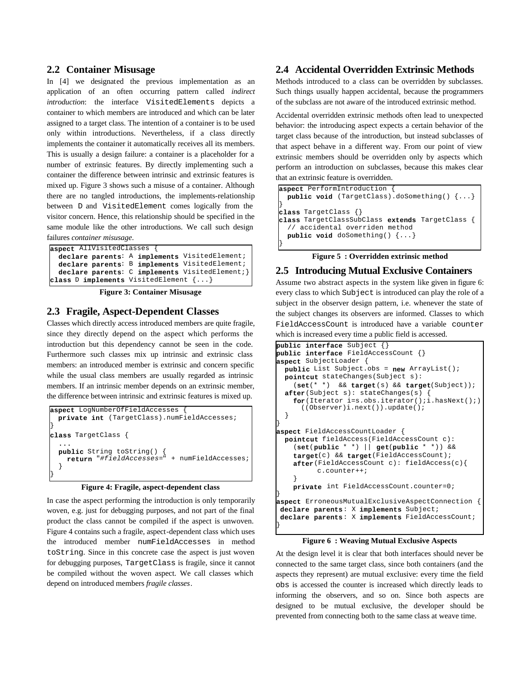#### **2.2 Container Misusage**

In [4] we designated the previous implementation as an application of an often occurring pattern called *indirect introduction*: the interface VisitedElements depicts a container to which members are introduced and which can be later assigned to a target class. The intention of a container is to be used only within introductions. Nevertheless, if a class directly implements the container it automatically receives all its members. This is usually a design failure: a container is a placeholder for a number of extrinsic features. By directly implementing such a container the difference between intrinsic and extrinsic features is mixed up. Figure 3 shows such a misuse of a container. Although there are no tangled introductions, the implements-relationship between D and VisitedElement comes logically from the visitor concern. Hence, this relationship should be specified in the same module like the other introductions. We call such design failures *container misusage*.

| aspect AllVisitedClasses {                      |  |  |
|-------------------------------------------------|--|--|
| declare parents: A implements VisitedElement;   |  |  |
| declare parents: B implements VisitedElement;   |  |  |
| declare parents: C implements VisitedElement; } |  |  |
| class D implements VisitedElement {}            |  |  |

**Figure 3: Container Misusage**

# **2.3 Fragile, Aspect-Dependent Classes**

Classes which directly access introduced members are quite fragile, since they directly depend on the aspect which performs the introduction but this dependency cannot be seen in the code. Furthermore such classes mix up intrinsic and extrinsic class members: an introduced member is extrinsic and concern specific while the usual class members are usually regarded as intrinsic members. If an intrinsic member depends on an extrinsic member, the difference between intrinsic and extrinsic features is mixed up.

```
aspect LogNumberOfFieldAccesses {
  private int (TargetClass).numFieldAccesses;
}
class TargetClass {
 ...
  public String toString() {
     return "#fieldAccesses=" + numFieldAccesses;
 }
}
```
#### **Figure 4: Fragile, aspect-dependent class**

In case the aspect performing the introduction is only temporarily woven, e.g. just for debugging purposes, and not part of the final product the class cannot be compiled if the aspect is unwoven. Figure 4 contains such a fragile, aspect-dependent class which uses the introduced member numFieldAccesses in method toString. Since in this concrete case the aspect is just woven for debugging purposes, TargetClass is fragile, since it cannot be compiled without the woven aspect. We call classes which depend on introduced members *fragile classes*.

## **2.4 Accidental Overridden Extrinsic Methods**

Methods introduced to a class can be overridden by subclasses. Such things usually happen accidental, because the programmers of the subclass are not aware of the introduced extrinsic method.

Accidental overridden extrinsic methods often lead to unexpected behavior: the introducing aspect expects a certain behavior of the target class because of the introduction, but instead subclasses of that aspect behave in a different way. From our point of view extrinsic members should be overridden only by aspects which perform an introduction on subclasses, because this makes clear that an extrinsic feature is overridden.

| aspect PerformIntroduction {                           |
|--------------------------------------------------------|
| public void (TargetClass).doSomething() $\{ \ldots \}$ |
|                                                        |
| class TargetClass $\{\}$                               |
| class TargetClassSubClass extends TargetClass {        |
| // accidental overriden method                         |
| public void doSomething() $\{ \ldots \}$               |
|                                                        |

#### **Figure 5 : Overridden extrinsic method**

#### **2.5 Introducing Mutual Exclusive Containers**

Assume two abstract aspects in the system like given in figure 6: every class to which Subject is introduced can play the role of a subject in the observer design pattern, i.e. whenever the state of the subject changes its observers are informed. Classes to which FieldAccessCount is introduced have a variable counter which is increased every time a public field is accessed.

```
public interface Subject {}
public interface FieldAccessCount {}
aspect SubjectLoader {
  public List Subject.obs = new ArrayList();
   pointcut stateChanges(Subject s):
     (set(* *) && target(s) && target(Subject));
   after(Subject s): stateChanges(s) {
    for(Iterator i=s.obs.iterator();i.hasNext();)
      ((Observer)i.next()).update();
 }
}
aspect FieldAccessCountLoader {
  pointcut fieldAccess(FieldAccessCount c):
     (set(public * *) || get(public * *)) && 
     target(c) && target(FieldAccessCount);
     after(FieldAccessCount c): fieldAccess(c){
           c.counter++;
     }
     private int FieldAccessCount.counter=0;
}
aspect ErroneousMutualExclusiveAspectConnection {
declare parents: X implements Subject;
declare parents: X implements FieldAccessCount;
}
```
#### **Figure 6 : Weaving Mutual Exclusive Aspects**

At the design level it is clear that both interfaces should never be connected to the same target class, since both containers (and the aspects they represent) are mutual exclusive: every time the field obs is accessed the counter is increased which directly leads to informing the observers, and so on. Since both aspects are designed to be mutual exclusive, the developer should be prevented from connecting both to the same class at weave time.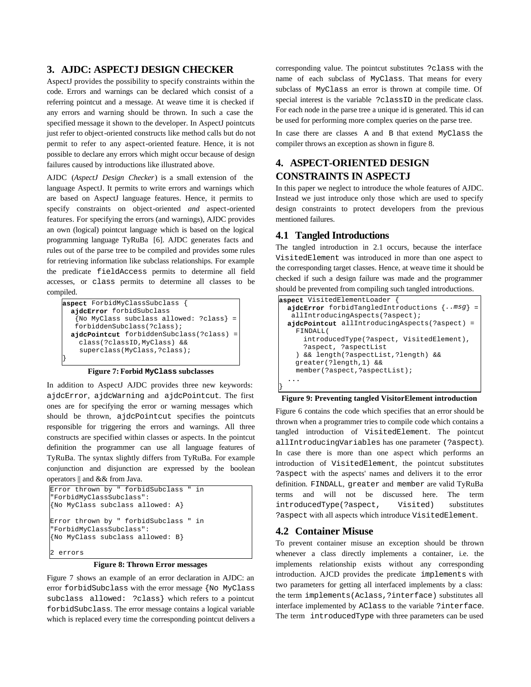# **3. AJDC: ASPECTJ DESIGN CHECKER**

AspectJ provides the possibility to specify constraints within the code. Errors and warnings can be declared which consist of a referring pointcut and a message. At weave time it is checked if any errors and warning should be thrown. In such a case the specified message it shown to the developer. In AspectJ pointcuts just refer to object-oriented constructs like method calls but do not permit to refer to any aspect-oriented feature. Hence, it is not possible to declare any errors which might occur because of design failures caused by introductions like illustrated above.

AJDC (*AspectJ Design Checker*) is a small extension of the language AspectJ. It permits to write errors and warnings which are based on AspectJ language features. Hence, it permits to specify constraints on object-oriented *and* aspect-oriented features. For specifying the errors (and warnings), AJDC provides an own (logical) pointcut language which is based on the logical programming language TyRuBa [6]. AJDC generates facts and rules out of the parse tree to be compiled and provides some rules for retrieving information like subclass relationships. For example the predicate fieldAccess permits to determine all field accesses, or class permits to determine all classes to be compiled.

| aspect ForbidMyClassSubclass             |  |
|------------------------------------------|--|
| ajdcError forbidSubclass                 |  |
| {No MyClass subclass allowed: ?class} =  |  |
| forbiddenSubclass(?class);               |  |
| aidcPointcut forbiddenSubclass(?class) = |  |
| class(?classID, MyClass) &&              |  |
| superclass(MyClass, ?class);             |  |
|                                          |  |

**Figure 7: Forbid MyClass subclasses**

In addition to AspectJ AJDC provides three new keywords: ajdcError, ajdcWarning and ajdcPointcut. The first ones are for specifying the error or warning messages which should be thrown, ajdcPointcut specifies the pointcuts responsible for triggering the errors and warnings. All three constructs are specified within classes or aspects. In the pointcut definition the programmer can use all language features of TyRuBa. The syntax slightly differs from TyRuBa. For example conjunction and disjunction are expressed by the boolean operators || and && from Java.



**Figure 8: Thrown Error messages**

Figure 7 shows an example of an error declaration in AJDC: an error forbidSubclass with the error message {No MyClass subclass allowed: ?class} which refers to a pointcut forbidSubclass. The error message contains a logical variable which is replaced every time the corresponding pointcut delivers a

corresponding value. The pointcut substitutes ?class with the name of each subclass of MyClass. That means for every subclass of MyClass an error is thrown at compile time. Of special interest is the variable ?classID in the predicate class. For each node in the parse tree a unique id is generated. This id can be used for performing more complex queries on the parse tree.

In case there are classes A and B that extend MyClass the compiler throws an exception as shown in figure 8.

# **4. ASPECT-ORIENTED DESIGN CONSTRAINTS IN ASPECTJ**

In this paper we neglect to introduce the whole features of AJDC. Instead we just introduce only those which are used to specify design constraints to protect developers from the previous mentioned failures.

# **4.1 Tangled Introductions**

The tangled introduction in 2.1 occurs, because the interface VisitedElement was introduced in more than one aspect to the corresponding target classes. Hence, at weave time it should be checked if such a design failure was made and the programmer should be prevented from compiling such tangled introductions.

| aspect VisitedElementLoader {                        |
|------------------------------------------------------|
| ajdcError forbidTangledIntroductions $\{$ msg $\}$ = |
| allIntroducingAspects(?aspect);                      |
| aidcPointcut allIntroducingAspects(?aspect) =        |
| FINDALL(                                             |
| introducedType(?aspect, VisitedElement),             |
| ?aspect, ?aspectList                                 |
| ) && length(?aspectList,?length) &&                  |
| greater(?length, 1) & &                              |
| member(?aspect,?aspectList);                         |
|                                                      |
|                                                      |

**Figure 9: Preventing tangled VisitorElement introduction**

Figure 6 contains the code which specifies that an error should be thrown when a programmer tries to compile code which contains a tangled introduction of VisitedElement. The pointcut allIntroducingVariables has one parameter (?aspect). In case there is more than one aspect which performs an introduction of VisitedElement, the pointcut substitutes ?aspect with the aspects' names and delivers it to the error definition. FINDALL, greater and member are valid TyRuBa terms and will not be discussed here. The term introducedType(?aspect, Visited) substitutes ?aspect with all aspects which introduce VisitedElement.

## **4.2 Container Misuse**

To prevent container misuse an exception should be thrown whenever a class directly implements a container, i.e. the implements relationship exists without any corresponding introduction. AJCD provides the predicate implements with two parameters for getting all interfaced implements by a class: the term implements(Aclass,?interface) substitutes all interface implemented by AClass to the variable ?interface. The term introducedType with three parameters can be used